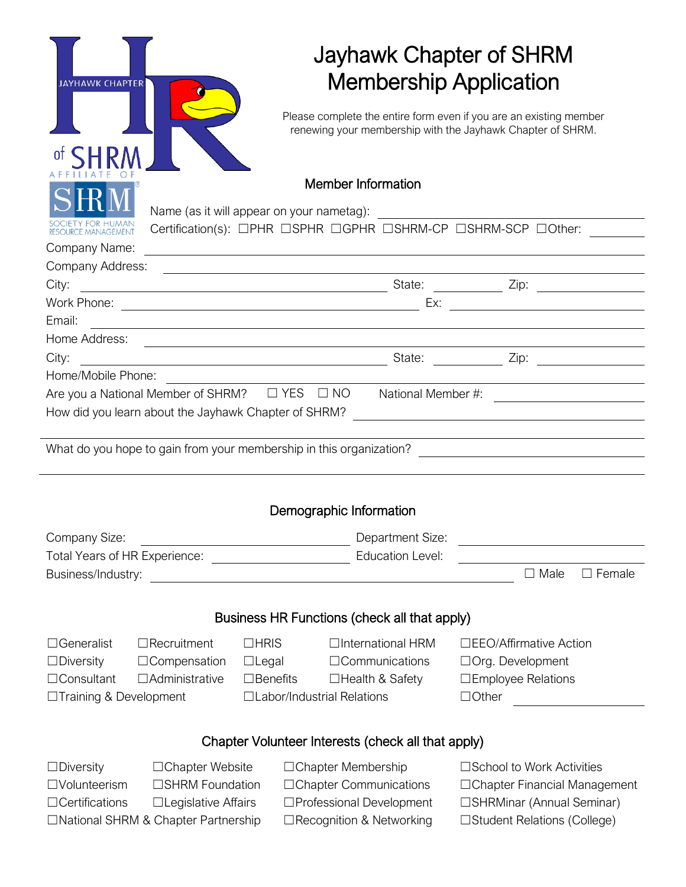| JAYHAWK CHAPTER<br>of SHRM<br>LIATE<br>A F  |                                           |
|---------------------------------------------|-------------------------------------------|
| R<br>KN<br>dr hliman<br>DI IRCE MANIAGEMENT | Name (as it will a<br>Certification(s): [ |

Company Name:

# Jayhawk Chapter of SHRM Membership Application

Please complete the entire form even if you are an existing member renewing your membership with the Jayhawk Chapter of SHRM.

## Member Information

ppear on your nametag):

Certification(s): ☐PHR ☐SPHR ☐GPHR ☐SHRM-CP ☐SHRM-SCP ☐Other:

| Company Name:                                        |           |                    |      |
|------------------------------------------------------|-----------|--------------------|------|
| Company Address:                                     |           |                    |      |
| City:                                                |           | State:             | Zip: |
| Work Phone:                                          |           | Ex:                |      |
| Email:                                               |           |                    |      |
| Home Address:                                        |           |                    |      |
| City:                                                |           | State:             | Zip: |
| Home/Mobile Phone: <u>_______________</u>            |           |                    |      |
| Are you a National Member of SHRM? $\Box$ YES        | $\Box$ NO | National Member #: |      |
| How did you learn about the Jayhawk Chapter of SHRM? |           |                    |      |
|                                                      |           |                    |      |

What do you hope to gain from your membership in this organization?

### Demographic Information

| Company Size:                 | Department Size: |             |               |
|-------------------------------|------------------|-------------|---------------|
| Total Years of HR Experience: | Education Level: |             |               |
| Business/Industry:            |                  | $\Box$ Male | $\Box$ Female |

#### Business HR Functions (check all that apply)

| $\Box$ Generalist             | $\Box$ Recruitment    |  |  |
|-------------------------------|-----------------------|--|--|
| $\Box$ Diversity              | $\Box$ Compensation   |  |  |
| $\Box$ Consultant             | $\Box$ Administrative |  |  |
| $\Box$ Training & Development |                       |  |  |

☐Diversity ☐Compensation ☐Legal ☐Communications ☐Org. Development ☐Training & Development ☐Labor/Industrial Relations ☐Other

☐Generalist ☐Recruitment ☐HRIS ☐International HRM ☐EEO/Affirmative Action ☐Consultant ☐Administrative ☐Benefits ☐Health & Safety ☐Employee Relations

#### Chapter Volunteer Interests (check all that apply)

- 
- 

☐National SHRM & Chapter Partnership ☐Recognition & Networking ☐Student Relations (College)

☐Diversity ☐Chapter Website ☐Chapter Membership ☐School to Work Activities ☐Volunteerism ☐SHRM Foundation ☐Chapter Communications ☐Chapter Financial Management ☐Certifications ☐Legislative Affairs ☐Professional Development ☐SHRMinar (Annual Seminar)